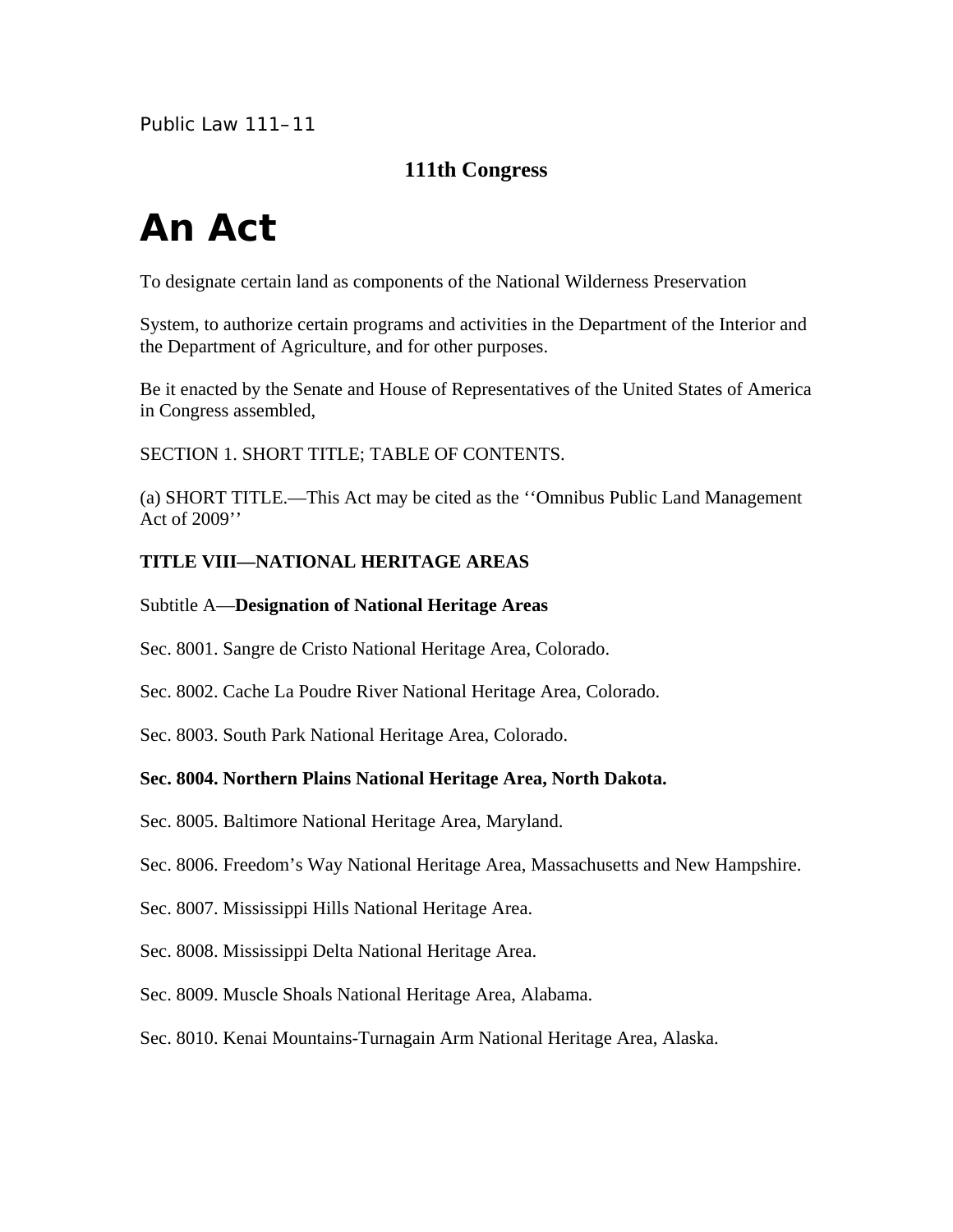Public Law 111–11

# **111th Congress**

# **An Act**

To designate certain land as components of the National Wilderness Preservation

System, to authorize certain programs and activities in the Department of the Interior and the Department of Agriculture, and for other purposes.

Be it enacted by the Senate and House of Representatives of the United States of America in Congress assembled,

SECTION 1. SHORT TITLE; TABLE OF CONTENTS.

(a) SHORT TITLE.—This Act may be cited as the ''Omnibus Public Land Management Act of 2009''

#### **TITLE VIII—NATIONAL HERITAGE AREAS**

#### Subtitle A—**Designation of National Heritage Areas**

Sec. 8001. Sangre de Cristo National Heritage Area, Colorado.

Sec. 8002. Cache La Poudre River National Heritage Area, Colorado.

Sec. 8003. South Park National Heritage Area, Colorado.

#### **Sec. 8004. Northern Plains National Heritage Area, North Dakota.**

Sec. 8005. Baltimore National Heritage Area, Maryland.

Sec. 8006. Freedom's Way National Heritage Area, Massachusetts and New Hampshire.

Sec. 8007. Mississippi Hills National Heritage Area.

Sec. 8008. Mississippi Delta National Heritage Area.

Sec. 8009. Muscle Shoals National Heritage Area, Alabama.

Sec. 8010. Kenai Mountains-Turnagain Arm National Heritage Area, Alaska.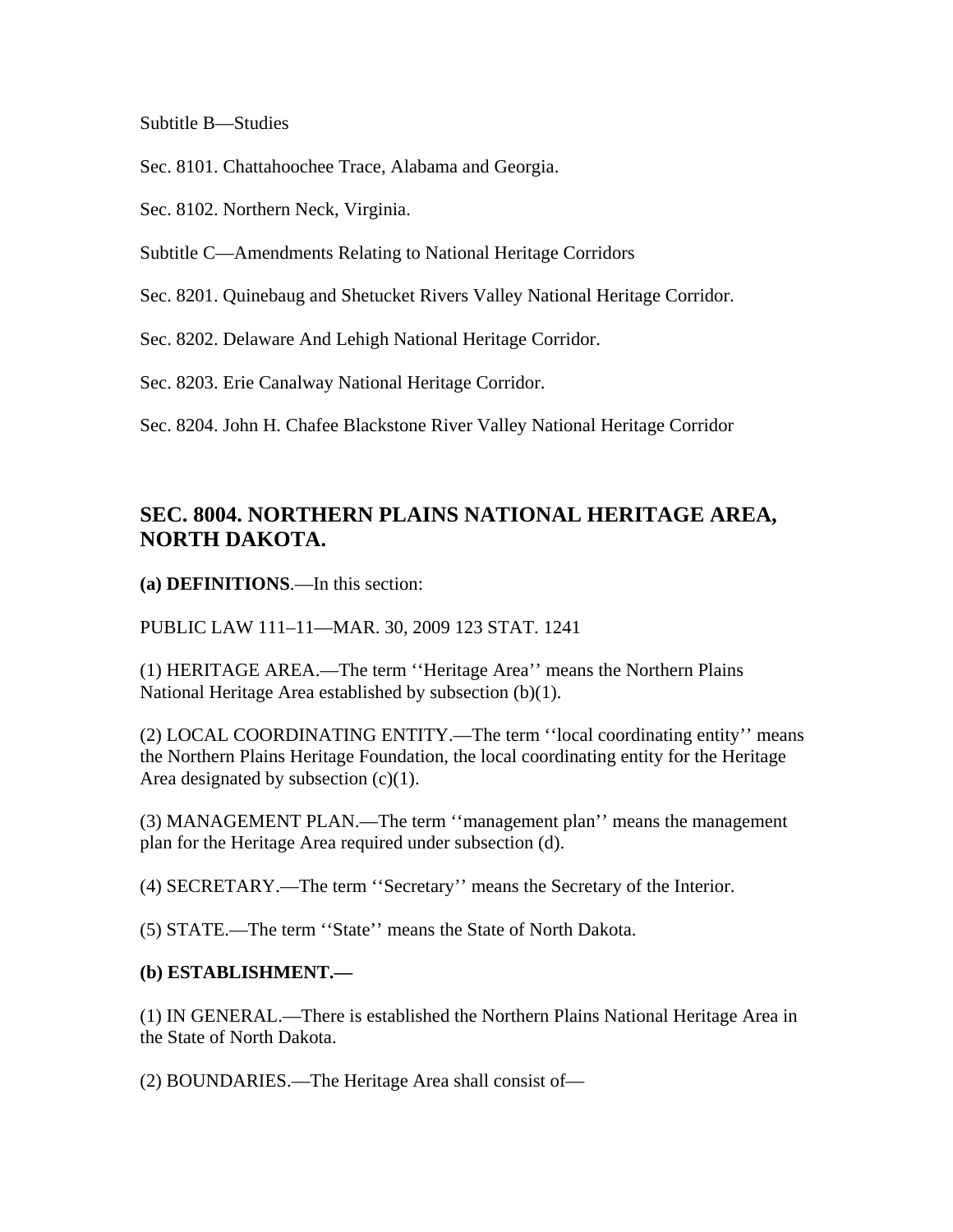Subtitle B—Studies

Sec. 8101. Chattahoochee Trace, Alabama and Georgia.

Sec. 8102. Northern Neck, Virginia.

Subtitle C—Amendments Relating to National Heritage Corridors

Sec. 8201. Quinebaug and Shetucket Rivers Valley National Heritage Corridor.

Sec. 8202. Delaware And Lehigh National Heritage Corridor.

Sec. 8203. Erie Canalway National Heritage Corridor.

Sec. 8204. John H. Chafee Blackstone River Valley National Heritage Corridor

# **SEC. 8004. NORTHERN PLAINS NATIONAL HERITAGE AREA, NORTH DAKOTA.**

**(a) DEFINITIONS**.—In this section:

PUBLIC LAW 111–11—MAR. 30, 2009 123 STAT. 1241

(1) HERITAGE AREA.—The term ''Heritage Area'' means the Northern Plains National Heritage Area established by subsection (b)(1).

(2) LOCAL COORDINATING ENTITY.—The term ''local coordinating entity'' means the Northern Plains Heritage Foundation, the local coordinating entity for the Heritage Area designated by subsection  $(c)(1)$ .

(3) MANAGEMENT PLAN.—The term ''management plan'' means the management plan for the Heritage Area required under subsection (d).

(4) SECRETARY.—The term ''Secretary'' means the Secretary of the Interior.

(5) STATE.—The term ''State'' means the State of North Dakota.

#### **(b) ESTABLISHMENT.—**

(1) IN GENERAL.—There is established the Northern Plains National Heritage Area in the State of North Dakota.

(2) BOUNDARIES.—The Heritage Area shall consist of—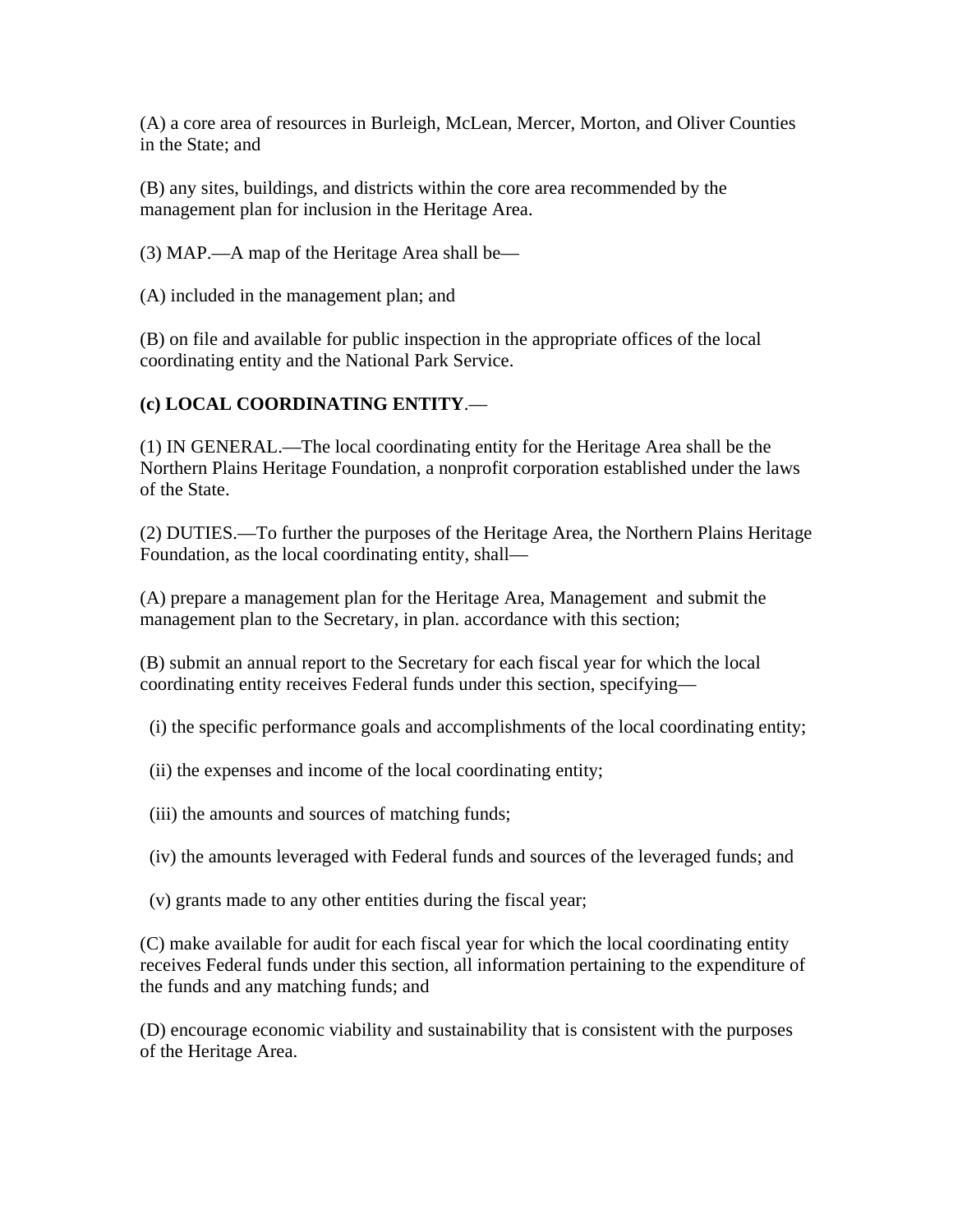(A) a core area of resources in Burleigh, McLean, Mercer, Morton, and Oliver Counties in the State; and

(B) any sites, buildings, and districts within the core area recommended by the management plan for inclusion in the Heritage Area.

(3) MAP.—A map of the Heritage Area shall be—

(A) included in the management plan; and

(B) on file and available for public inspection in the appropriate offices of the local coordinating entity and the National Park Service.

#### **(c) LOCAL COORDINATING ENTITY**.—

(1) IN GENERAL.—The local coordinating entity for the Heritage Area shall be the Northern Plains Heritage Foundation, a nonprofit corporation established under the laws of the State.

(2) DUTIES.—To further the purposes of the Heritage Area, the Northern Plains Heritage Foundation, as the local coordinating entity, shall—

(A) prepare a management plan for the Heritage Area, Management and submit the management plan to the Secretary, in plan. accordance with this section;

(B) submit an annual report to the Secretary for each fiscal year for which the local coordinating entity receives Federal funds under this section, specifying—

(i) the specific performance goals and accomplishments of the local coordinating entity;

- (ii) the expenses and income of the local coordinating entity;
- (iii) the amounts and sources of matching funds;

(iv) the amounts leveraged with Federal funds and sources of the leveraged funds; and

(v) grants made to any other entities during the fiscal year;

(C) make available for audit for each fiscal year for which the local coordinating entity receives Federal funds under this section, all information pertaining to the expenditure of the funds and any matching funds; and

(D) encourage economic viability and sustainability that is consistent with the purposes of the Heritage Area.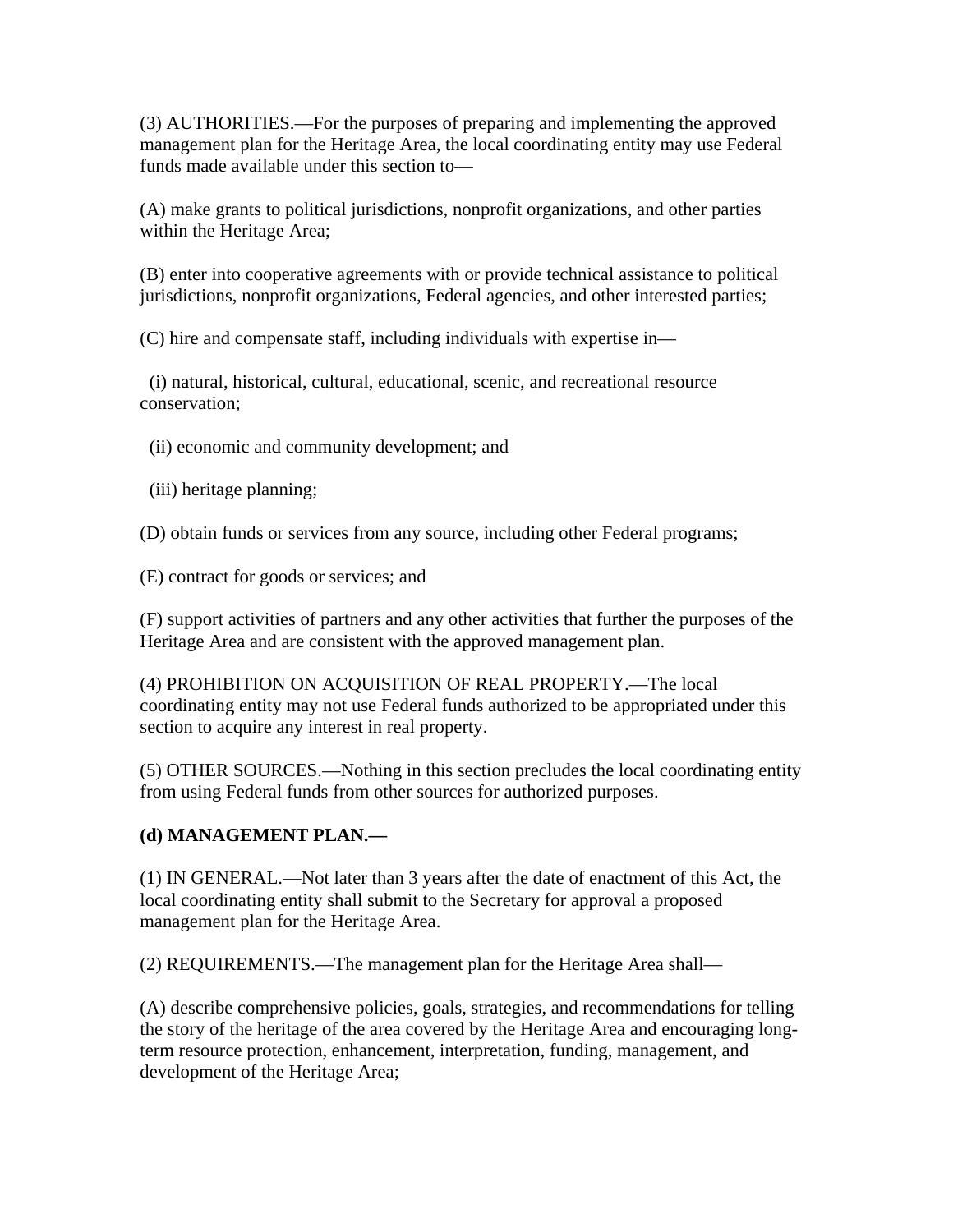(3) AUTHORITIES.—For the purposes of preparing and implementing the approved management plan for the Heritage Area, the local coordinating entity may use Federal funds made available under this section to—

(A) make grants to political jurisdictions, nonprofit organizations, and other parties within the Heritage Area;

(B) enter into cooperative agreements with or provide technical assistance to political jurisdictions, nonprofit organizations, Federal agencies, and other interested parties;

(C) hire and compensate staff, including individuals with expertise in—

 (i) natural, historical, cultural, educational, scenic, and recreational resource conservation;

(ii) economic and community development; and

(iii) heritage planning;

(D) obtain funds or services from any source, including other Federal programs;

(E) contract for goods or services; and

(F) support activities of partners and any other activities that further the purposes of the Heritage Area and are consistent with the approved management plan.

(4) PROHIBITION ON ACQUISITION OF REAL PROPERTY.—The local coordinating entity may not use Federal funds authorized to be appropriated under this section to acquire any interest in real property.

(5) OTHER SOURCES.—Nothing in this section precludes the local coordinating entity from using Federal funds from other sources for authorized purposes.

## **(d) MANAGEMENT PLAN.—**

(1) IN GENERAL.—Not later than 3 years after the date of enactment of this Act, the local coordinating entity shall submit to the Secretary for approval a proposed management plan for the Heritage Area.

(2) REQUIREMENTS.—The management plan for the Heritage Area shall—

(A) describe comprehensive policies, goals, strategies, and recommendations for telling the story of the heritage of the area covered by the Heritage Area and encouraging longterm resource protection, enhancement, interpretation, funding, management, and development of the Heritage Area;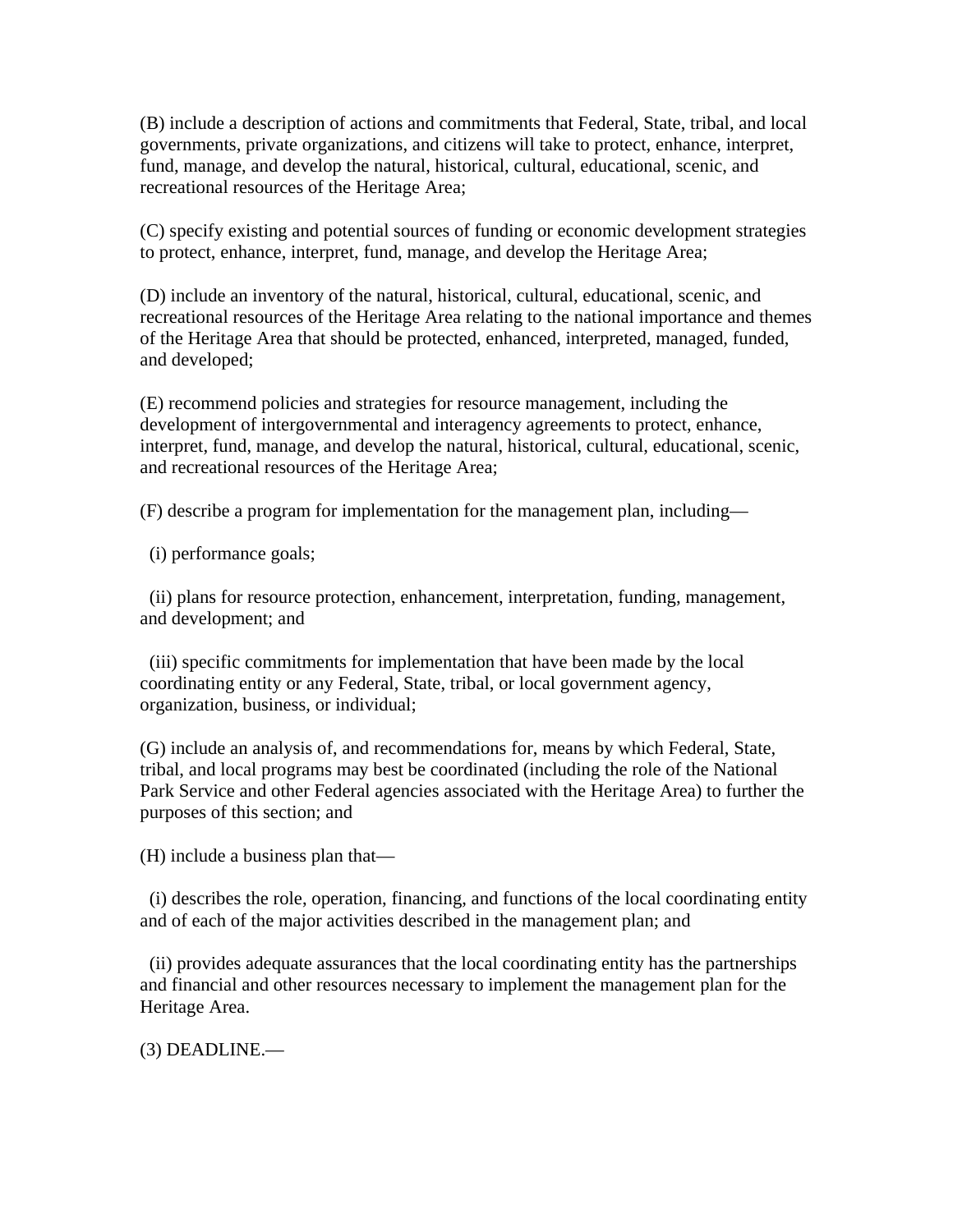(B) include a description of actions and commitments that Federal, State, tribal, and local governments, private organizations, and citizens will take to protect, enhance, interpret, fund, manage, and develop the natural, historical, cultural, educational, scenic, and recreational resources of the Heritage Area;

(C) specify existing and potential sources of funding or economic development strategies to protect, enhance, interpret, fund, manage, and develop the Heritage Area;

(D) include an inventory of the natural, historical, cultural, educational, scenic, and recreational resources of the Heritage Area relating to the national importance and themes of the Heritage Area that should be protected, enhanced, interpreted, managed, funded, and developed;

(E) recommend policies and strategies for resource management, including the development of intergovernmental and interagency agreements to protect, enhance, interpret, fund, manage, and develop the natural, historical, cultural, educational, scenic, and recreational resources of the Heritage Area;

(F) describe a program for implementation for the management plan, including—

(i) performance goals;

 (ii) plans for resource protection, enhancement, interpretation, funding, management, and development; and

 (iii) specific commitments for implementation that have been made by the local coordinating entity or any Federal, State, tribal, or local government agency, organization, business, or individual;

(G) include an analysis of, and recommendations for, means by which Federal, State, tribal, and local programs may best be coordinated (including the role of the National Park Service and other Federal agencies associated with the Heritage Area) to further the purposes of this section; and

(H) include a business plan that—

 (i) describes the role, operation, financing, and functions of the local coordinating entity and of each of the major activities described in the management plan; and

 (ii) provides adequate assurances that the local coordinating entity has the partnerships and financial and other resources necessary to implement the management plan for the Heritage Area.

(3) DEADLINE.—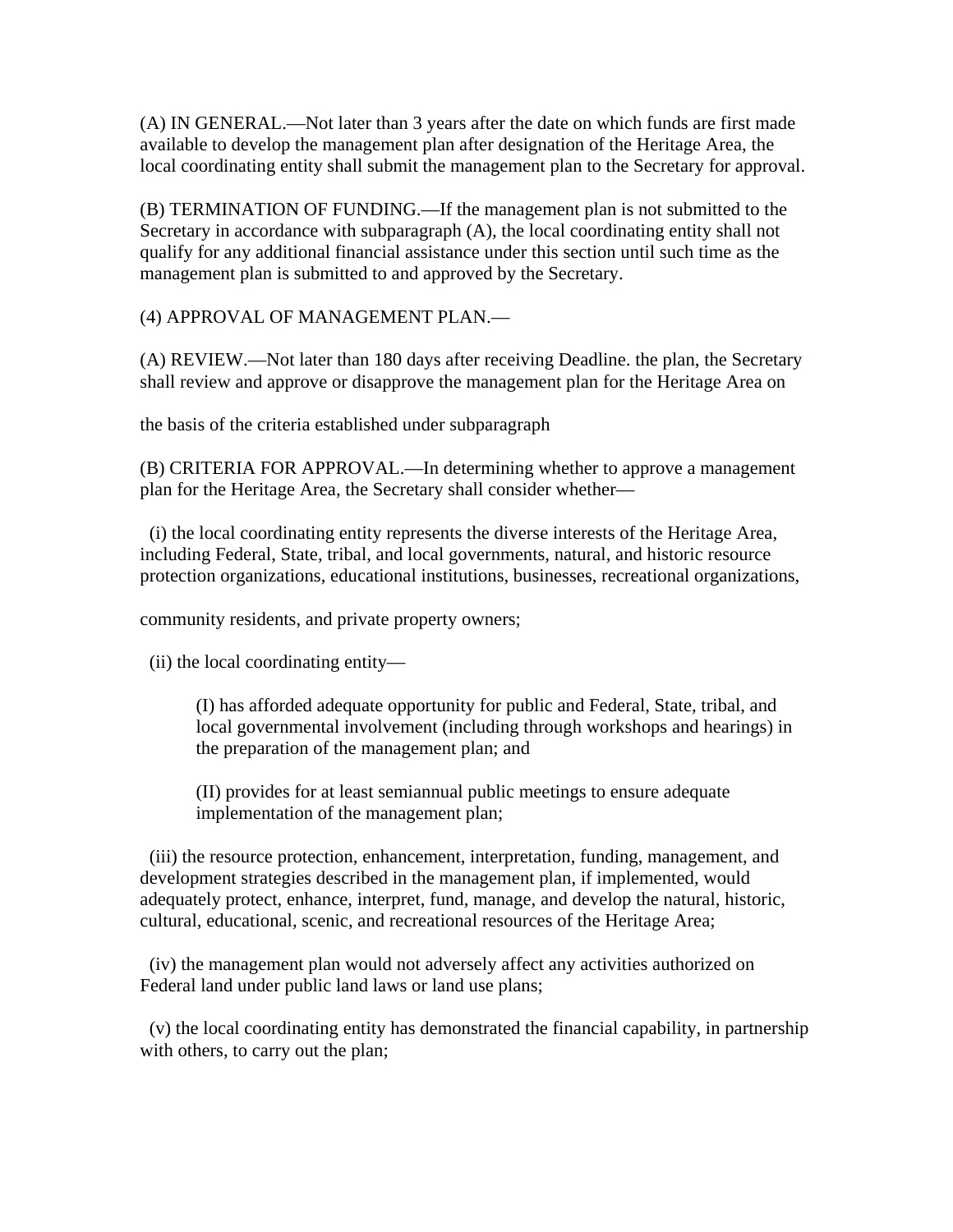(A) IN GENERAL.—Not later than 3 years after the date on which funds are first made available to develop the management plan after designation of the Heritage Area, the local coordinating entity shall submit the management plan to the Secretary for approval.

(B) TERMINATION OF FUNDING.—If the management plan is not submitted to the Secretary in accordance with subparagraph (A), the local coordinating entity shall not qualify for any additional financial assistance under this section until such time as the management plan is submitted to and approved by the Secretary.

(4) APPROVAL OF MANAGEMENT PLAN.—

(A) REVIEW.—Not later than 180 days after receiving Deadline. the plan, the Secretary shall review and approve or disapprove the management plan for the Heritage Area on

the basis of the criteria established under subparagraph

(B) CRITERIA FOR APPROVAL.—In determining whether to approve a management plan for the Heritage Area, the Secretary shall consider whether—

 (i) the local coordinating entity represents the diverse interests of the Heritage Area, including Federal, State, tribal, and local governments, natural, and historic resource protection organizations, educational institutions, businesses, recreational organizations,

community residents, and private property owners;

(ii) the local coordinating entity—

(I) has afforded adequate opportunity for public and Federal, State, tribal, and local governmental involvement (including through workshops and hearings) in the preparation of the management plan; and

(II) provides for at least semiannual public meetings to ensure adequate implementation of the management plan;

 (iii) the resource protection, enhancement, interpretation, funding, management, and development strategies described in the management plan, if implemented, would adequately protect, enhance, interpret, fund, manage, and develop the natural, historic, cultural, educational, scenic, and recreational resources of the Heritage Area;

 (iv) the management plan would not adversely affect any activities authorized on Federal land under public land laws or land use plans;

 (v) the local coordinating entity has demonstrated the financial capability, in partnership with others, to carry out the plan;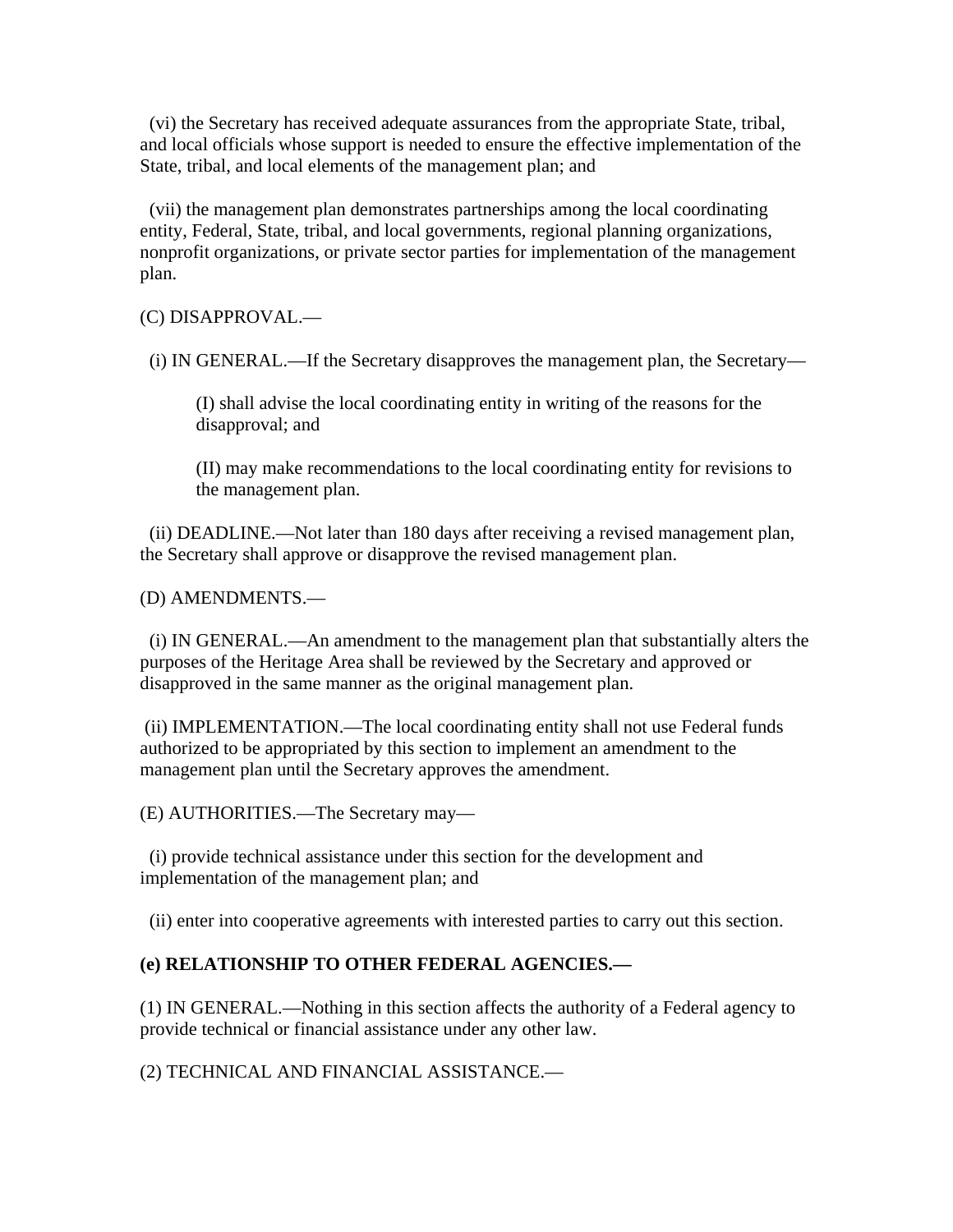(vi) the Secretary has received adequate assurances from the appropriate State, tribal, and local officials whose support is needed to ensure the effective implementation of the State, tribal, and local elements of the management plan; and

 (vii) the management plan demonstrates partnerships among the local coordinating entity, Federal, State, tribal, and local governments, regional planning organizations, nonprofit organizations, or private sector parties for implementation of the management plan.

(C) DISAPPROVAL.—

(i) IN GENERAL.—If the Secretary disapproves the management plan, the Secretary—

(I) shall advise the local coordinating entity in writing of the reasons for the disapproval; and

(II) may make recommendations to the local coordinating entity for revisions to the management plan.

 (ii) DEADLINE.—Not later than 180 days after receiving a revised management plan, the Secretary shall approve or disapprove the revised management plan.

(D) AMENDMENTS.—

 (i) IN GENERAL.—An amendment to the management plan that substantially alters the purposes of the Heritage Area shall be reviewed by the Secretary and approved or disapproved in the same manner as the original management plan.

 (ii) IMPLEMENTATION.—The local coordinating entity shall not use Federal funds authorized to be appropriated by this section to implement an amendment to the management plan until the Secretary approves the amendment.

(E) AUTHORITIES.—The Secretary may—

 (i) provide technical assistance under this section for the development and implementation of the management plan; and

(ii) enter into cooperative agreements with interested parties to carry out this section.

#### **(e) RELATIONSHIP TO OTHER FEDERAL AGENCIES.—**

(1) IN GENERAL.—Nothing in this section affects the authority of a Federal agency to provide technical or financial assistance under any other law.

(2) TECHNICAL AND FINANCIAL ASSISTANCE.—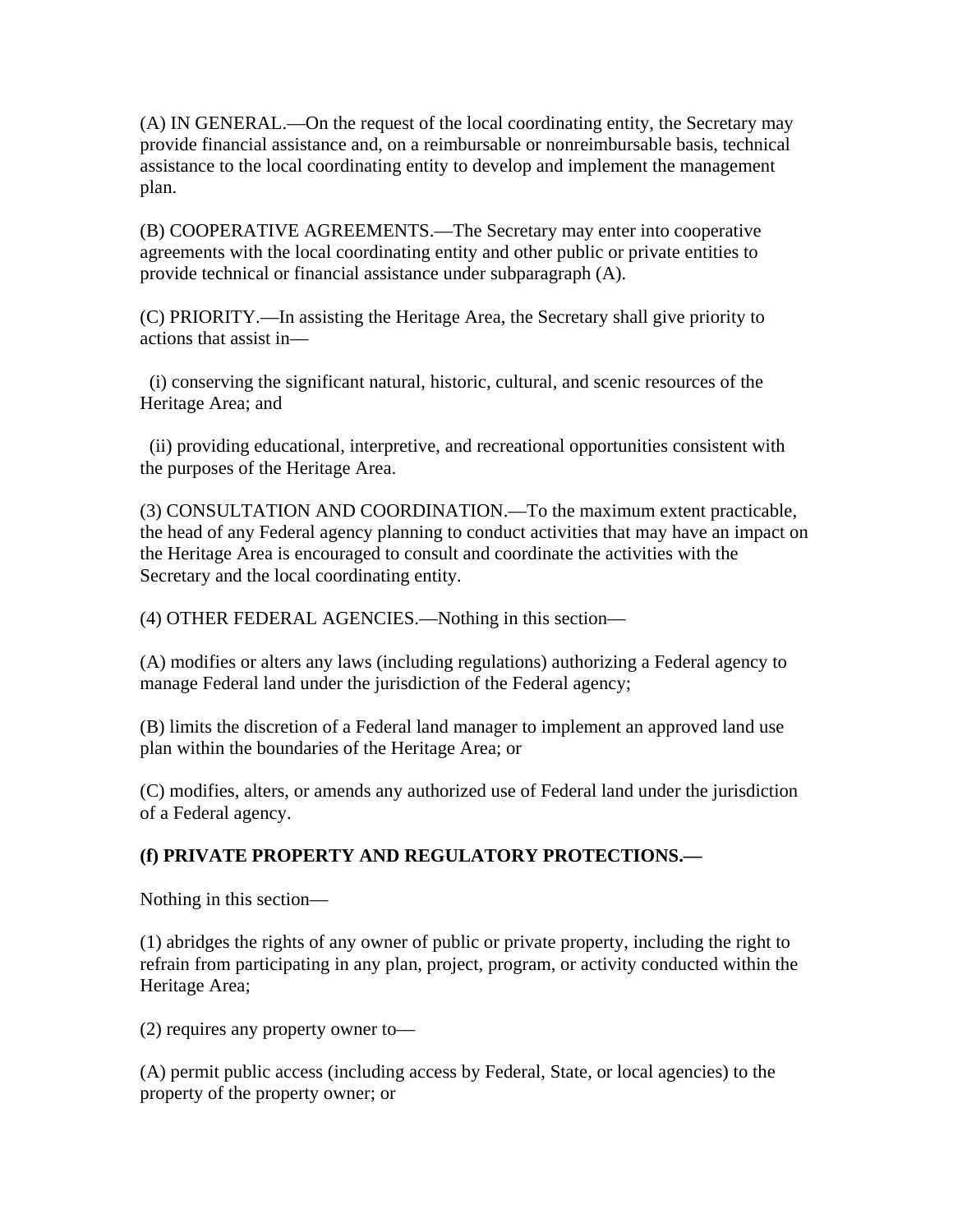(A) IN GENERAL.—On the request of the local coordinating entity, the Secretary may provide financial assistance and, on a reimbursable or nonreimbursable basis, technical assistance to the local coordinating entity to develop and implement the management plan.

(B) COOPERATIVE AGREEMENTS.—The Secretary may enter into cooperative agreements with the local coordinating entity and other public or private entities to provide technical or financial assistance under subparagraph (A).

(C) PRIORITY.—In assisting the Heritage Area, the Secretary shall give priority to actions that assist in—

 (i) conserving the significant natural, historic, cultural, and scenic resources of the Heritage Area; and

 (ii) providing educational, interpretive, and recreational opportunities consistent with the purposes of the Heritage Area.

(3) CONSULTATION AND COORDINATION.—To the maximum extent practicable, the head of any Federal agency planning to conduct activities that may have an impact on the Heritage Area is encouraged to consult and coordinate the activities with the Secretary and the local coordinating entity.

(4) OTHER FEDERAL AGENCIES.—Nothing in this section—

(A) modifies or alters any laws (including regulations) authorizing a Federal agency to manage Federal land under the jurisdiction of the Federal agency;

(B) limits the discretion of a Federal land manager to implement an approved land use plan within the boundaries of the Heritage Area; or

(C) modifies, alters, or amends any authorized use of Federal land under the jurisdiction of a Federal agency.

## **(f) PRIVATE PROPERTY AND REGULATORY PROTECTIONS.—**

Nothing in this section—

(1) abridges the rights of any owner of public or private property, including the right to refrain from participating in any plan, project, program, or activity conducted within the Heritage Area;

(2) requires any property owner to—

(A) permit public access (including access by Federal, State, or local agencies) to the property of the property owner; or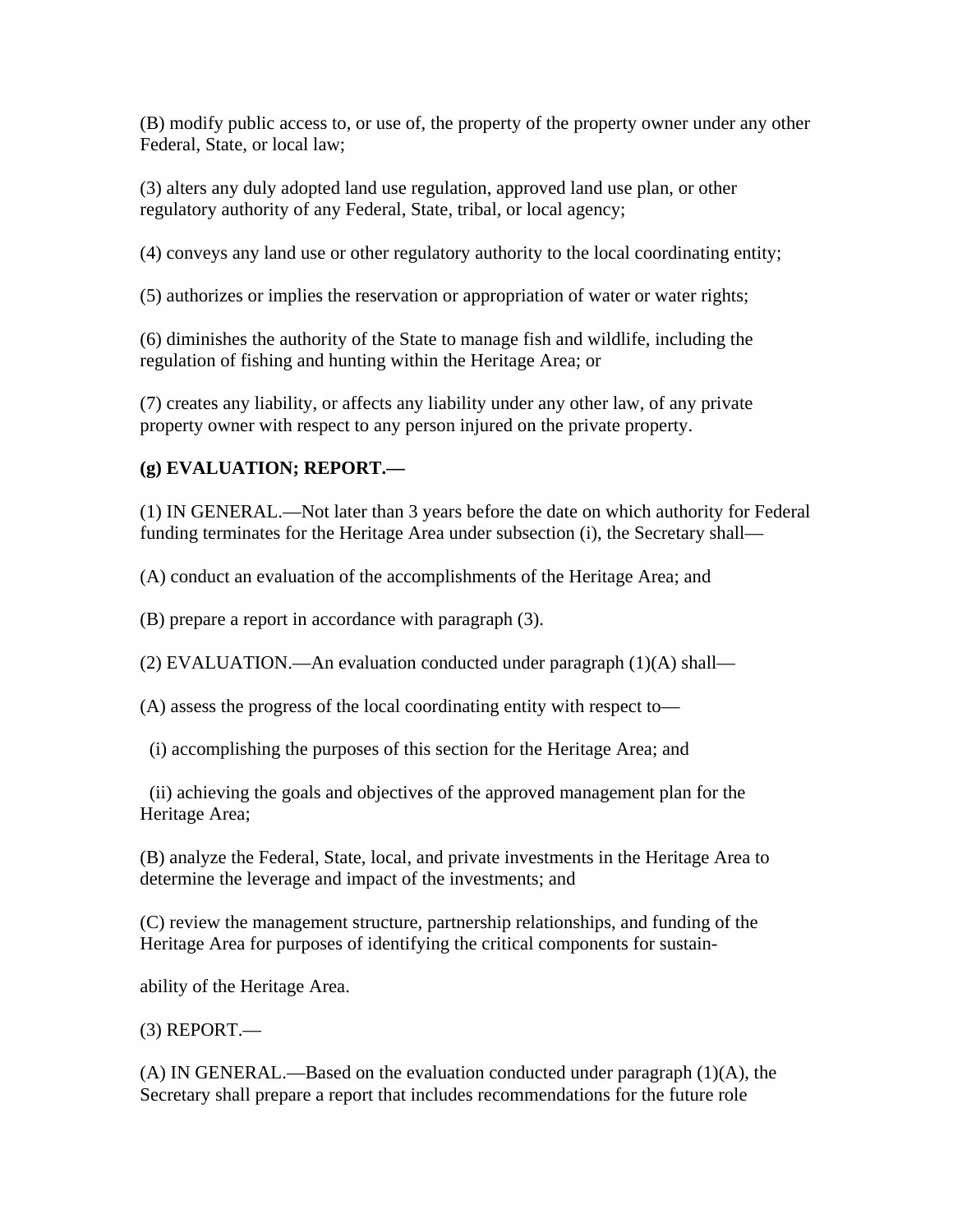(B) modify public access to, or use of, the property of the property owner under any other Federal, State, or local law;

(3) alters any duly adopted land use regulation, approved land use plan, or other regulatory authority of any Federal, State, tribal, or local agency;

(4) conveys any land use or other regulatory authority to the local coordinating entity;

(5) authorizes or implies the reservation or appropriation of water or water rights;

(6) diminishes the authority of the State to manage fish and wildlife, including the regulation of fishing and hunting within the Heritage Area; or

(7) creates any liability, or affects any liability under any other law, of any private property owner with respect to any person injured on the private property.

#### **(g) EVALUATION; REPORT.—**

(1) IN GENERAL.—Not later than 3 years before the date on which authority for Federal funding terminates for the Heritage Area under subsection (i), the Secretary shall—

(A) conduct an evaluation of the accomplishments of the Heritage Area; and

(B) prepare a report in accordance with paragraph (3).

(2) EVALUATION.—An evaluation conducted under paragraph (1)(A) shall—

(A) assess the progress of the local coordinating entity with respect to—

(i) accomplishing the purposes of this section for the Heritage Area; and

 (ii) achieving the goals and objectives of the approved management plan for the Heritage Area;

(B) analyze the Federal, State, local, and private investments in the Heritage Area to determine the leverage and impact of the investments; and

(C) review the management structure, partnership relationships, and funding of the Heritage Area for purposes of identifying the critical components for sustain-

ability of the Heritage Area.

 $(3)$  REPORT.—

(A) IN GENERAL.—Based on the evaluation conducted under paragraph (1)(A), the Secretary shall prepare a report that includes recommendations for the future role